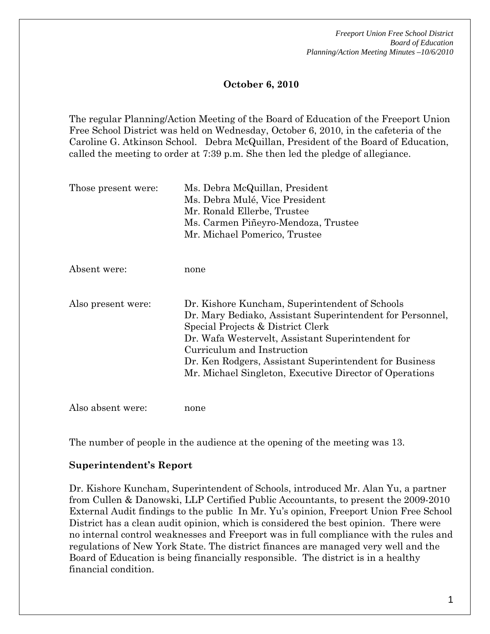*Freeport Union Free School District Board of Education Planning/Action Meeting Minutes –10/6/2010* 

## **October 6, 2010**

The regular Planning/Action Meeting of the Board of Education of the Freeport Union Free School District was held on Wednesday, October 6, 2010, in the cafeteria of the Caroline G. Atkinson School. Debra McQuillan, President of the Board of Education, called the meeting to order at 7:39 p.m. She then led the pledge of allegiance.

| Those present were: | Ms. Debra McQuillan, President<br>Ms. Debra Mulé, Vice President<br>Mr. Ronald Ellerbe, Trustee<br>Ms. Carmen Piñeyro-Mendoza, Trustee<br>Mr. Michael Pomerico, Trustee                                                                                                                                                                                  |
|---------------------|----------------------------------------------------------------------------------------------------------------------------------------------------------------------------------------------------------------------------------------------------------------------------------------------------------------------------------------------------------|
| Absent were:        | none                                                                                                                                                                                                                                                                                                                                                     |
| Also present were:  | Dr. Kishore Kuncham, Superintendent of Schools<br>Dr. Mary Bediako, Assistant Superintendent for Personnel,<br>Special Projects & District Clerk<br>Dr. Wafa Westervelt, Assistant Superintendent for<br>Curriculum and Instruction<br>Dr. Ken Rodgers, Assistant Superintendent for Business<br>Mr. Michael Singleton, Executive Director of Operations |
| Also absent were:   | none                                                                                                                                                                                                                                                                                                                                                     |

The number of people in the audience at the opening of the meeting was 13.

#### **Superintendent's Report**

Dr. Kishore Kuncham, Superintendent of Schools, introduced Mr. Alan Yu, a partner from Cullen & Danowski, LLP Certified Public Accountants, to present the 2009-2010 External Audit findings to the public In Mr. Yu's opinion, Freeport Union Free School District has a clean audit opinion, which is considered the best opinion. There were no internal control weaknesses and Freeport was in full compliance with the rules and regulations of New York State. The district finances are managed very well and the Board of Education is being financially responsible. The district is in a healthy financial condition.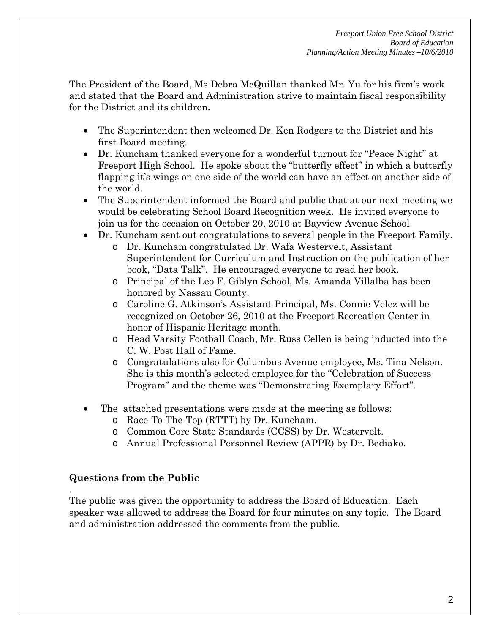The President of the Board, Ms Debra McQuillan thanked Mr. Yu for his firm's work and stated that the Board and Administration strive to maintain fiscal responsibility for the District and its children.

- The Superintendent then welcomed Dr. Ken Rodgers to the District and his first Board meeting.
- Dr. Kuncham thanked everyone for a wonderful turnout for "Peace Night" at Freeport High School. He spoke about the "butterfly effect" in which a butterfly flapping it's wings on one side of the world can have an effect on another side of the world.
- The Superintendent informed the Board and public that at our next meeting we would be celebrating School Board Recognition week. He invited everyone to join us for the occasion on October 20, 2010 at Bayview Avenue School
- Dr. Kuncham sent out congratulations to several people in the Freeport Family.
	- o Dr. Kuncham congratulated Dr. Wafa Westervelt, Assistant Superintendent for Curriculum and Instruction on the publication of her book, "Data Talk". He encouraged everyone to read her book.
	- o Principal of the Leo F. Giblyn School, Ms. Amanda Villalba has been honored by Nassau County.
	- o Caroline G. Atkinson's Assistant Principal, Ms. Connie Velez will be recognized on October 26, 2010 at the Freeport Recreation Center in honor of Hispanic Heritage month.
	- o Head Varsity Football Coach, Mr. Russ Cellen is being inducted into the C. W. Post Hall of Fame.
	- o Congratulations also for Columbus Avenue employee, Ms. Tina Nelson. She is this month's selected employee for the "Celebration of Success Program" and the theme was "Demonstrating Exemplary Effort".
- The attached presentations were made at the meeting as follows:
	- o Race-To-The-Top (RTTT) by Dr. Kuncham.
	- o Common Core State Standards (CCSS) by Dr. Westervelt.
	- o Annual Professional Personnel Review (APPR) by Dr. Bediako.

## **Questions from the Public**

.

The public was given the opportunity to address the Board of Education. Each speaker was allowed to address the Board for four minutes on any topic. The Board and administration addressed the comments from the public.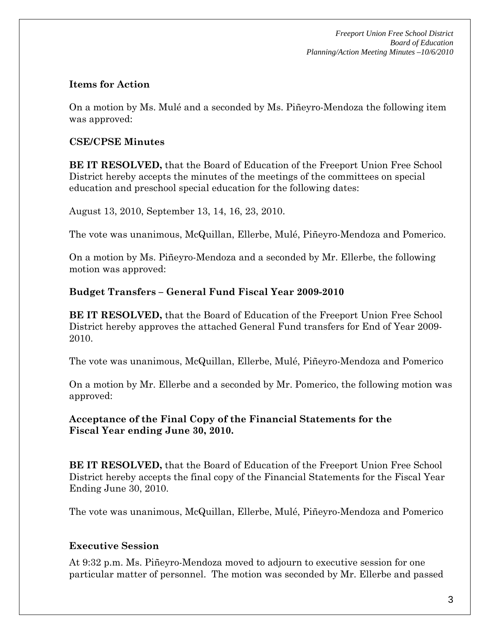*Freeport Union Free School District Board of Education Planning/Action Meeting Minutes –10/6/2010* 

#### **Items for Action**

On a motion by Ms. Mulé and a seconded by Ms. Piñeyro-Mendoza the following item was approved:

### **CSE/CPSE Minutes**

**BE IT RESOLVED,** that the Board of Education of the Freeport Union Free School District hereby accepts the minutes of the meetings of the committees on special education and preschool special education for the following dates:

August 13, 2010, September 13, 14, 16, 23, 2010.

The vote was unanimous, McQuillan, Ellerbe, Mulé, Piñeyro-Mendoza and Pomerico.

On a motion by Ms. Piñeyro-Mendoza and a seconded by Mr. Ellerbe, the following motion was approved:

### **Budget Transfers – General Fund Fiscal Year 2009-2010**

**BE IT RESOLVED,** that the Board of Education of the Freeport Union Free School District hereby approves the attached General Fund transfers for End of Year 2009- 2010.

The vote was unanimous, McQuillan, Ellerbe, Mulé, Piñeyro-Mendoza and Pomerico

On a motion by Mr. Ellerbe and a seconded by Mr. Pomerico, the following motion was approved:

## **Acceptance of the Final Copy of the Financial Statements for the Fiscal Year ending June 30, 2010.**

**BE IT RESOLVED,** that the Board of Education of the Freeport Union Free School District hereby accepts the final copy of the Financial Statements for the Fiscal Year Ending June 30, 2010.

The vote was unanimous, McQuillan, Ellerbe, Mulé, Piñeyro-Mendoza and Pomerico

## **Executive Session**

At 9:32 p.m. Ms. Piñeyro-Mendoza moved to adjourn to executive session for one particular matter of personnel. The motion was seconded by Mr. Ellerbe and passed